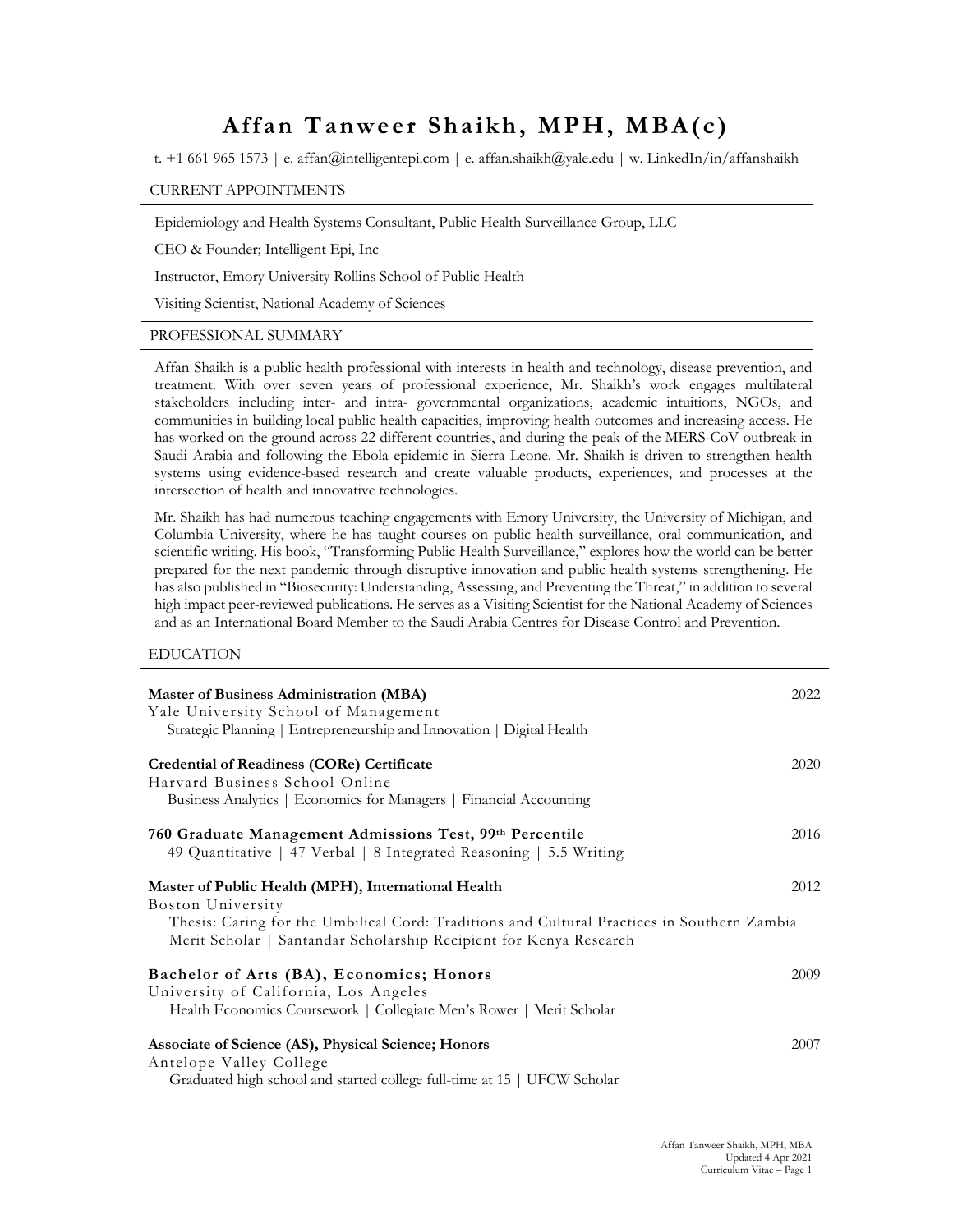# **Affan Tanweer Shaikh, MPH, MBA(c)**

t. +1 661 965 1573 | e. affan@intelligentepi.com | e. affan.shaikh@yale.edu | w. LinkedIn/in/affanshaikh

# CURRENT APPOINTMENTS

Epidemiology and Health Systems Consultant, Public Health Surveillance Group, LLC

CEO & Founder; Intelligent Epi, Inc

Instructor, Emory University Rollins School of Public Health

Visiting Scientist, National Academy of Sciences

### PROFESSIONAL SUMMARY

Affan Shaikh is a public health professional with interests in health and technology, disease prevention, and treatment. With over seven years of professional experience, Mr. Shaikh's work engages multilateral stakeholders including inter- and intra- governmental organizations, academic intuitions, NGOs, and communities in building local public health capacities, improving health outcomes and increasing access. He has worked on the ground across 22 different countries, and during the peak of the MERS-CoV outbreak in Saudi Arabia and following the Ebola epidemic in Sierra Leone. Mr. Shaikh is driven to strengthen health systems using evidence-based research and create valuable products, experiences, and processes at the intersection of health and innovative technologies.

Mr. Shaikh has had numerous teaching engagements with Emory University, the University of Michigan, and Columbia University, where he has taught courses on public health surveillance, oral communication, and scientific writing. His book, "Transforming Public Health Surveillance," explores how the world can be better prepared for the next pandemic through disruptive innovation and public health systems strengthening. He has also published in "Biosecurity: Understanding, Assessing, and Preventing the Threat," in addition to several high impact peer-reviewed publications. He serves as a Visiting Scientist for the National Academy of Sciences and as an International Board Member to the Saudi Arabia Centres for Disease Control and Prevention.

#### EDUCATION

| <b>Master of Business Administration (MBA)</b><br>Yale University School of Management<br>Strategic Planning   Entrepreneurship and Innovation   Digital Health                                                                               | 2022 |
|-----------------------------------------------------------------------------------------------------------------------------------------------------------------------------------------------------------------------------------------------|------|
| Credential of Readiness (CORe) Certificate<br>Harvard Business School Online<br>Business Analytics   Economics for Managers   Financial Accounting                                                                                            | 2020 |
| 760 Graduate Management Admissions Test, 99th Percentile<br>49 Quantitative   47 Verbal   8 Integrated Reasoning   5.5 Writing                                                                                                                | 2016 |
| Master of Public Health (MPH), International Health<br>Boston University<br>Thesis: Caring for the Umbilical Cord: Traditions and Cultural Practices in Southern Zambia<br>Merit Scholar   Santandar Scholarship Recipient for Kenya Research | 2012 |
| Bachelor of Arts (BA), Economics; Honors<br>University of California, Los Angeles<br>Health Economics Coursework   Collegiate Men's Rower   Merit Scholar                                                                                     | 2009 |
| Associate of Science (AS), Physical Science; Honors<br>Antelope Valley College<br>Graduated high school and started college full-time at 15   UFCW Scholar                                                                                    | 2007 |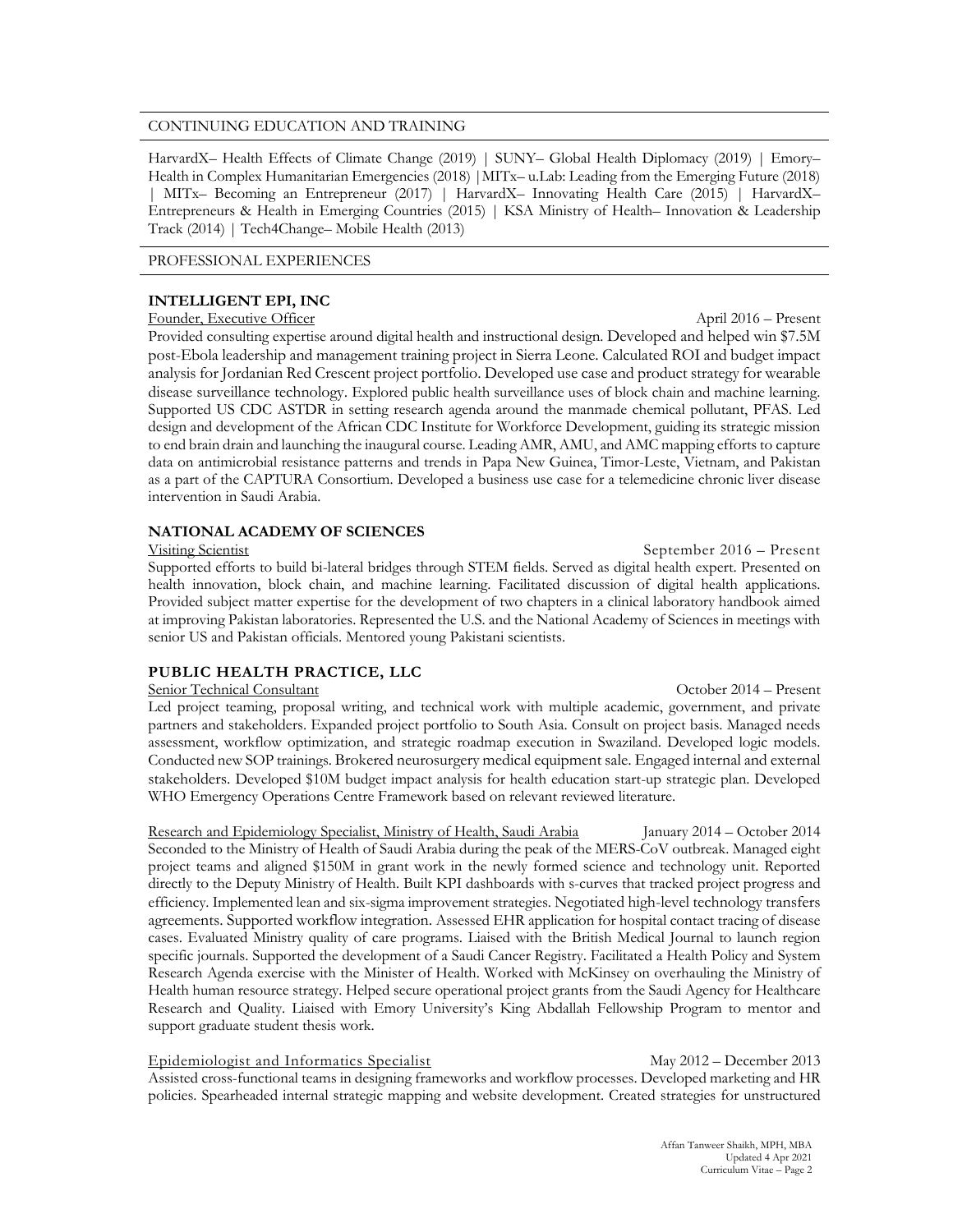#### CONTINUING EDUCATION AND TRAINING

HarvardX– Health Effects of Climate Change (2019) | SUNY– Global Health Diplomacy (2019) | Emory– Health in Complex Humanitarian Emergencies (2018) |MITx– u.Lab: Leading from the Emerging Future (2018) | MITx– Becoming an Entrepreneur (2017) | HarvardX– Innovating Health Care (2015) | HarvardX– Entrepreneurs & Health in Emerging Countries (2015) | KSA Ministry of Health– Innovation & Leadership Track (2014) | Tech4Change– Mobile Health (2013)

#### PROFESSIONAL EXPERIENCES

# **INTELLIGENT EPI, INC**

### Founder, Executive Officer April 2016 – Present

Provided consulting expertise around digital health and instructional design. Developed and helped win \$7.5M post-Ebola leadership and management training project in Sierra Leone. Calculated ROI and budget impact analysis for Jordanian Red Crescent project portfolio. Developed use case and product strategy for wearable disease surveillance technology. Explored public health surveillance uses of block chain and machine learning. Supported US CDC ASTDR in setting research agenda around the manmade chemical pollutant, PFAS. Led design and development of the African CDC Institute for Workforce Development, guiding its strategic mission to end brain drain and launching the inaugural course. Leading AMR, AMU, and AMC mapping efforts to capture data on antimicrobial resistance patterns and trends in Papa New Guinea, Timor-Leste, Vietnam, and Pakistan as a part of the CAPTURA Consortium. Developed a business use case for a telemedicine chronic liver disease intervention in Saudi Arabia.

# **NATIONAL ACADEMY OF SCIENCES**

### Visiting Scientist September 2016 – Present

Supported efforts to build bi-lateral bridges through STEM fields. Served as digital health expert. Presented on health innovation, block chain, and machine learning. Facilitated discussion of digital health applications. Provided subject matter expertise for the development of two chapters in a clinical laboratory handbook aimed at improving Pakistan laboratories. Represented the U.S. and the National Academy of Sciences in meetings with senior US and Pakistan officials. Mentored young Pakistani scientists.

# **PUBLIC HEALTH PRACTICE, LLC**

# Senior Technical Consultant October 2014 – Present

Led project teaming, proposal writing, and technical work with multiple academic, government, and private partners and stakeholders. Expanded project portfolio to South Asia. Consult on project basis. Managed needs assessment, workflow optimization, and strategic roadmap execution in Swaziland. Developed logic models. Conducted new SOP trainings. Brokered neurosurgery medical equipment sale. Engaged internal and external stakeholders. Developed \$10M budget impact analysis for health education start-up strategic plan. Developed WHO Emergency Operations Centre Framework based on relevant reviewed literature.

Research and Epidemiology Specialist, Ministry of Health, Saudi Arabia January 2014 – October 2014 Seconded to the Ministry of Health of Saudi Arabia during the peak of the MERS-CoV outbreak. Managed eight project teams and aligned \$150M in grant work in the newly formed science and technology unit. Reported directly to the Deputy Ministry of Health. Built KPI dashboards with s-curves that tracked project progress and efficiency. Implemented lean and six-sigma improvement strategies. Negotiated high-level technology transfers agreements. Supported workflow integration. Assessed EHR application for hospital contact tracing of disease cases. Evaluated Ministry quality of care programs. Liaised with the British Medical Journal to launch region specific journals. Supported the development of a Saudi Cancer Registry. Facilitated a Health Policy and System Research Agenda exercise with the Minister of Health. Worked with McKinsey on overhauling the Ministry of Health human resource strategy. Helped secure operational project grants from the Saudi Agency for Healthcare Research and Quality. Liaised with Emory University's King Abdallah Fellowship Program to mentor and support graduate student thesis work.

Epidemiologist and Informatics Specialist May 2012 – December 2013 Assisted cross-functional teams in designing frameworks and workflow processes. Developed marketing and HR policies. Spearheaded internal strategic mapping and website development. Created strategies for unstructured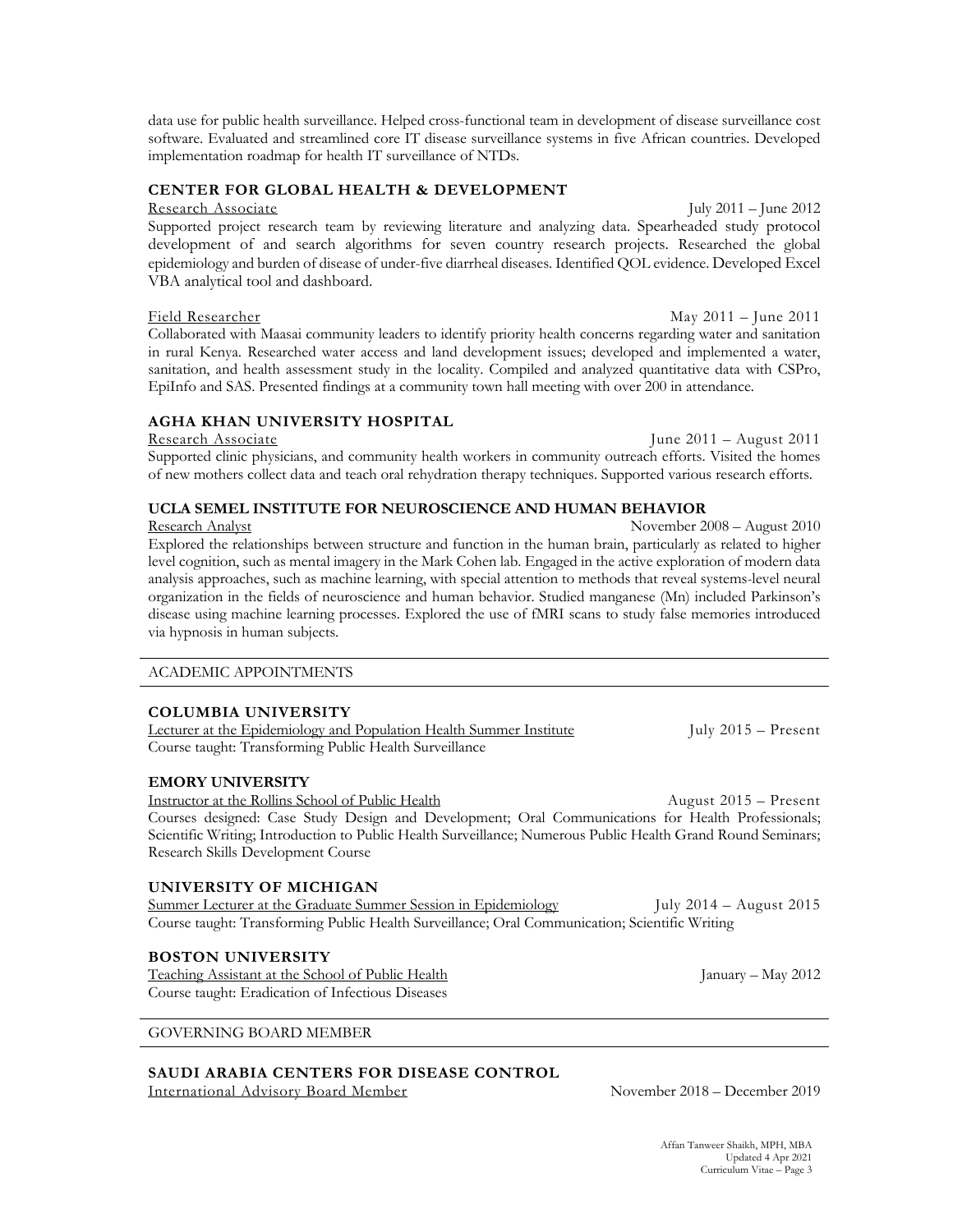data use for public health surveillance. Helped cross-functional team in development of disease surveillance cost software. Evaluated and streamlined core IT disease surveillance systems in five African countries. Developed implementation roadmap for health IT surveillance of NTDs.

# **CENTER FOR GLOBAL HEALTH & DEVELOPMENT**

Research Associate July 2011 – June 2012

Supported project research team by reviewing literature and analyzing data. Spearheaded study protocol development of and search algorithms for seven country research projects. Researched the global epidemiology and burden of disease of under-five diarrheal diseases. Identified QOL evidence. Developed Excel VBA analytical tool and dashboard.

# Field Researcher May 2011 – June 2011

Collaborated with Maasai community leaders to identify priority health concerns regarding water and sanitation in rural Kenya. Researched water access and land development issues; developed and implemented a water, sanitation, and health assessment study in the locality. Compiled and analyzed quantitative data with CSPro, EpiInfo and SAS. Presented findings at a community town hall meeting with over 200 in attendance.

# **AGHA KHAN UNIVERSITY HOSPITAL**

Research Associate June 2011 – August 2011 Supported clinic physicians, and community health workers in community outreach efforts. Visited the homes of new mothers collect data and teach oral rehydration therapy techniques. Supported various research efforts.

# **UCLA SEMEL INSTITUTE FOR NEUROSCIENCE AND HUMAN BEHAVIOR**

Research Analyst November 2008 – August 2010 Explored the relationships between structure and function in the human brain, particularly as related to higher level cognition, such as mental imagery in the Mark Cohen lab. Engaged in the active exploration of modern data analysis approaches, such as machine learning, with special attention to methods that reveal systems-level neural organization in the fields of neuroscience and human behavior. Studied manganese (Mn) included Parkinson's disease using machine learning processes. Explored the use of fMRI scans to study false memories introduced via hypnosis in human subjects.

# ACADEMIC APPOINTMENTS

# **COLUMBIA UNIVERSITY**

| Lecturer at the Epidemiology and Population Health Summer Institute | July $2015 -$ Present |  |
|---------------------------------------------------------------------|-----------------------|--|
| Course taught: Transforming Public Health Surveillance              |                       |  |

# **EMORY UNIVERSITY**

Instructor at the Rollins School of Public Health August 2015 – Present Courses designed: Case Study Design and Development; Oral Communications for Health Professionals; Scientific Writing; Introduction to Public Health Surveillance; Numerous Public Health Grand Round Seminars; Research Skills Development Course

# **UNIVERSITY OF MICHIGAN**

Summer Lecturer at the Graduate Summer Session in Epidemiology July 2014 – August 2015 Course taught: Transforming Public Health Surveillance; Oral Communication; Scientific Writing

# **BOSTON UNIVERSITY**

Teaching Assistant at the School of Public Health January – May 2012 Course taught: Eradication of Infectious Diseases

# GOVERNING BOARD MEMBER

# **SAUDI ARABIA CENTERS FOR DISEASE CONTROL**

International Advisory Board Member November 2018 – December 2019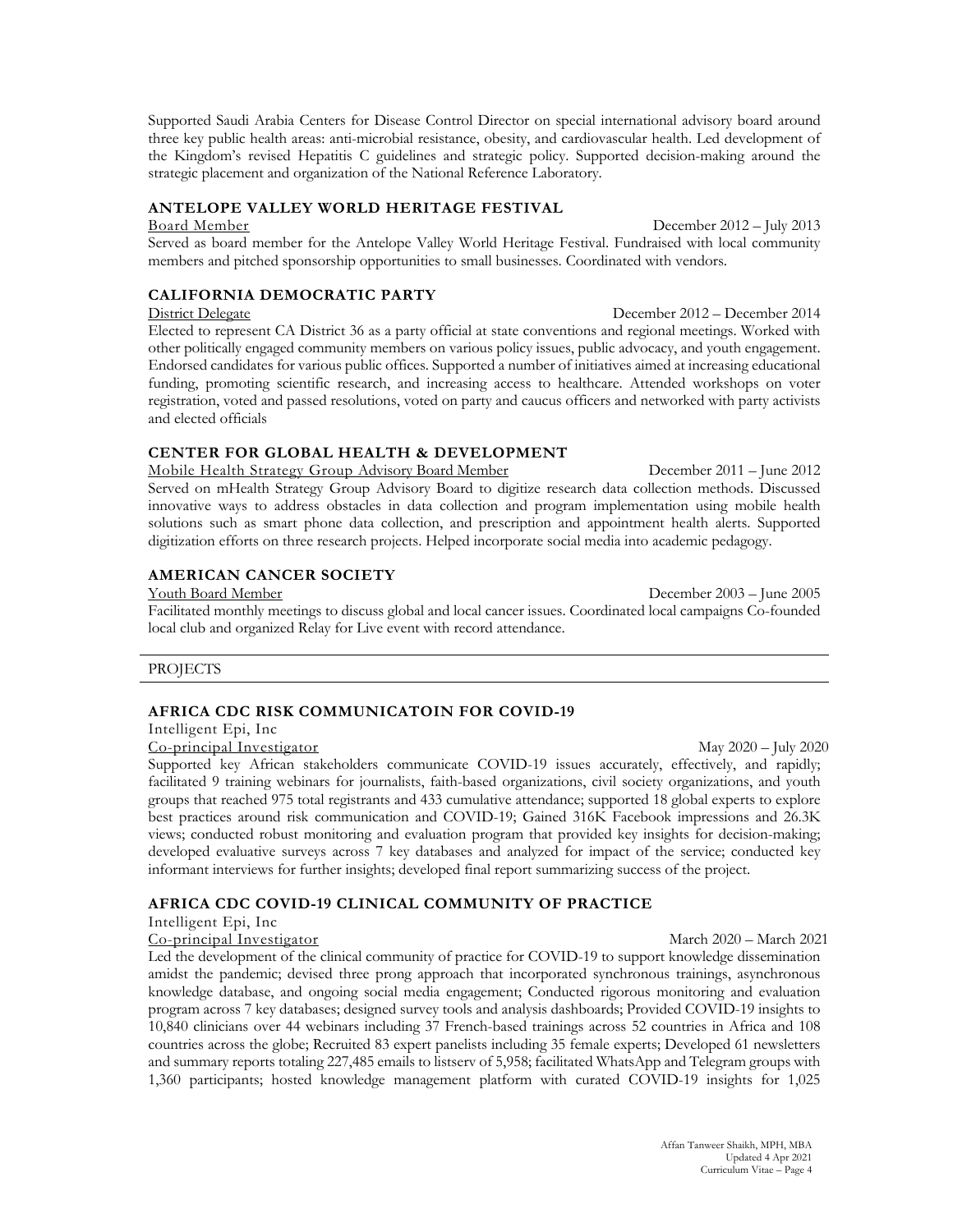Supported Saudi Arabia Centers for Disease Control Director on special international advisory board around three key public health areas: anti-microbial resistance, obesity, and cardiovascular health. Led development of the Kingdom's revised Hepatitis C guidelines and strategic policy. Supported decision-making around the strategic placement and organization of the National Reference Laboratory.

## **ANTELOPE VALLEY WORLD HERITAGE FESTIVAL**

Board Member December 2012 – July 2013 Served as board member for the Antelope Valley World Heritage Festival. Fundraised with local community members and pitched sponsorship opportunities to small businesses. Coordinated with vendors.

### **CALIFORNIA DEMOCRATIC PARTY**

District Delegate December 2012 – December 2014 Elected to represent CA District 36 as a party official at state conventions and regional meetings. Worked with other politically engaged community members on various policy issues, public advocacy, and youth engagement. Endorsed candidates for various public offices. Supported a number of initiatives aimed at increasing educational funding, promoting scientific research, and increasing access to healthcare. Attended workshops on voter registration, voted and passed resolutions, voted on party and caucus officers and networked with party activists and elected officials

### **CENTER FOR GLOBAL HEALTH & DEVELOPMENT**

Mobile Health Strategy Group Advisory Board Member December 2011 – June 2012 Served on mHealth Strategy Group Advisory Board to digitize research data collection methods. Discussed innovative ways to address obstacles in data collection and program implementation using mobile health solutions such as smart phone data collection, and prescription and appointment health alerts. Supported digitization efforts on three research projects. Helped incorporate social media into academic pedagogy.

#### **AMERICAN CANCER SOCIETY**

Youth Board Member December 2003 – June 2005 Facilitated monthly meetings to discuss global and local cancer issues. Coordinated local campaigns Co-founded local club and organized Relay for Live event with record attendance.

#### **PROJECTS**

# **AFRICA CDC RISK COMMUNICATOIN FOR COVID-19**

Intelligent Epi, Inc

Co-principal Investigator May 2020 – July 2020

Supported key African stakeholders communicate COVID-19 issues accurately, effectively, and rapidly; facilitated 9 training webinars for journalists, faith-based organizations, civil society organizations, and youth groups that reached 975 total registrants and 433 cumulative attendance; supported 18 global experts to explore best practices around risk communication and COVID-19; Gained 316K Facebook impressions and 26.3K views; conducted robust monitoring and evaluation program that provided key insights for decision-making; developed evaluative surveys across 7 key databases and analyzed for impact of the service; conducted key informant interviews for further insights; developed final report summarizing success of the project.

#### **AFRICA CDC COVID-19 CLINICAL COMMUNITY OF PRACTICE**

Intelligent Epi, Inc

Co-principal Investigator March 2020 – March 2021

Led the development of the clinical community of practice for COVID-19 to support knowledge dissemination amidst the pandemic; devised three prong approach that incorporated synchronous trainings, asynchronous knowledge database, and ongoing social media engagement; Conducted rigorous monitoring and evaluation program across 7 key databases; designed survey tools and analysis dashboards; Provided COVID-19 insights to 10,840 clinicians over 44 webinars including 37 French-based trainings across 52 countries in Africa and 108 countries across the globe; Recruited 83 expert panelists including 35 female experts; Developed 61 newsletters and summary reports totaling 227,485 emails to listserv of 5,958; facilitated WhatsApp and Telegram groups with 1,360 participants; hosted knowledge management platform with curated COVID-19 insights for 1,025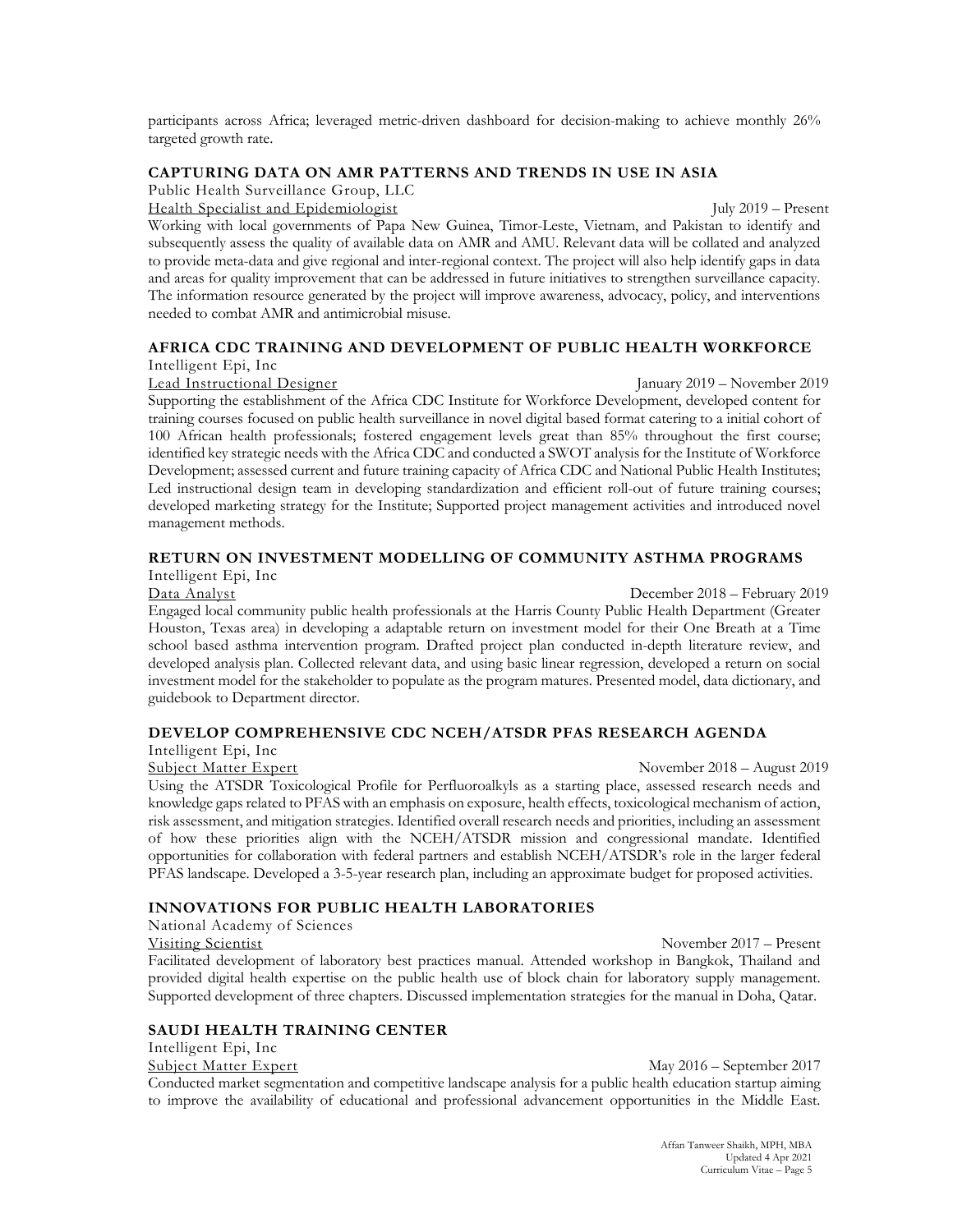participants across Africa; leveraged metric-driven dashboard for decision-making to achieve monthly 26% targeted growth rate.

# **CAPTURING DATA ON AMR PATTERNS AND TRENDS IN USE IN ASIA**

Public Health Surveillance Group, LLC

Health Specialist and Epidemiologist July 2019 – Present

Working with local governments of Papa New Guinea, Timor-Leste, Vietnam, and Pakistan to identify and subsequently assess the quality of available data on AMR and AMU. Relevant data will be collated and analyzed to provide meta-data and give regional and inter-regional context. The project will also help identify gaps in data and areas for quality improvement that can be addressed in future initiatives to strengthen surveillance capacity. The information resource generated by the project will improve awareness, advocacy, policy, and interventions needed to combat AMR and antimicrobial misuse.

# **AFRICA CDC TRAINING AND DEVELOPMENT OF PUBLIC HEALTH WORKFORCE**

Intelligent Epi, Inc

Lead Instructional Designer January 2019 – November 2019

Supporting the establishment of the Africa CDC Institute for Workforce Development, developed content for training courses focused on public health surveillance in novel digital based format catering to a initial cohort of 100 African health professionals; fostered engagement levels great than 85% throughout the first course; identified key strategic needs with the Africa CDC and conducted a SWOT analysis for the Institute of Workforce Development; assessed current and future training capacity of Africa CDC and National Public Health Institutes; Led instructional design team in developing standardization and efficient roll-out of future training courses; developed marketing strategy for the Institute; Supported project management activities and introduced novel management methods.

### **RETURN ON INVESTMENT MODELLING OF COMMUNITY ASTHMA PROGRAMS**

Intelligent Epi, Inc

Data Analyst December 2018 – February 2019

Engaged local community public health professionals at the Harris County Public Health Department (Greater Houston, Texas area) in developing a adaptable return on investment model for their One Breath at a Time school based asthma intervention program. Drafted project plan conducted in-depth literature review, and developed analysis plan. Collected relevant data, and using basic linear regression, developed a return on social investment model for the stakeholder to populate as the program matures. Presented model, data dictionary, and guidebook to Department director.

# **DEVELOP COMPREHENSIVE CDC NCEH/ATSDR PFAS RESEARCH AGENDA**

Intelligent Epi, Inc

#### Subject Matter Expert November 2018 – August 2019

Using the ATSDR Toxicological Profile for Perfluoroalkyls as a starting place, assessed research needs and knowledge gaps related to PFAS with an emphasis on exposure, health effects, toxicological mechanism of action, risk assessment, and mitigation strategies. Identified overall research needs and priorities, including an assessment of how these priorities align with the NCEH/ATSDR mission and congressional mandate. Identified opportunities for collaboration with federal partners and establish NCEH/ATSDR's role in the larger federal PFAS landscape. Developed a 3-5-year research plan, including an approximate budget for proposed activities.

# **INNOVATIONS FOR PUBLIC HEALTH LABORATORIES**

National Academy of Sciences

November 2017 – Present Facilitated development of laboratory best practices manual. Attended workshop in Bangkok, Thailand and provided digital health expertise on the public health use of block chain for laboratory supply management. Supported development of three chapters. Discussed implementation strategies for the manual in Doha, Qatar.

# **SAUDI HEALTH TRAINING CENTER**

Intelligent Epi, Inc

Subject Matter Expert May 2016 – September 2017 Conducted market segmentation and competitive landscape analysis for a public health education startup aiming to improve the availability of educational and professional advancement opportunities in the Middle East.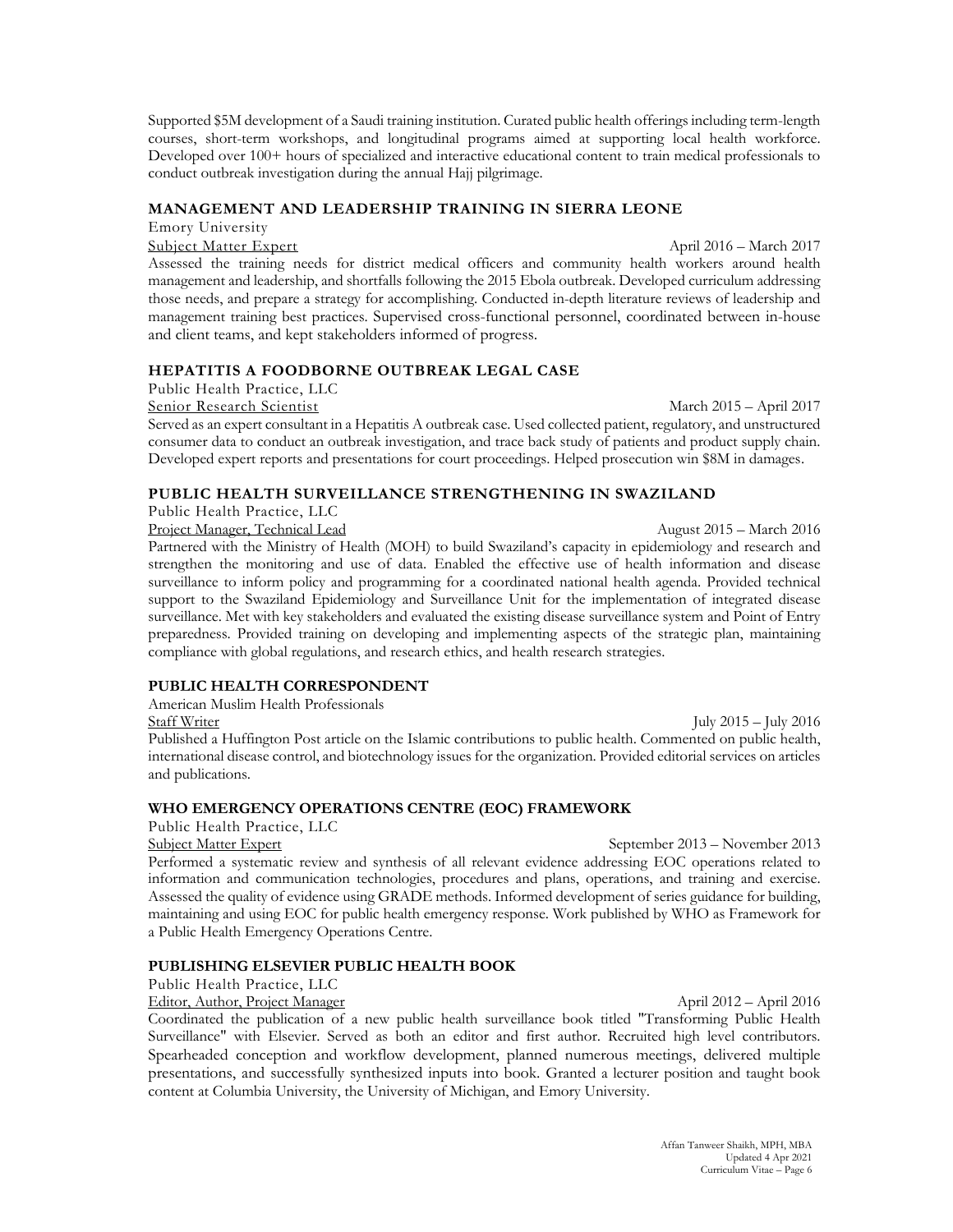Supported \$5M development of a Saudi training institution. Curated public health offerings including term-length courses, short-term workshops, and longitudinal programs aimed at supporting local health workforce. Developed over 100+ hours of specialized and interactive educational content to train medical professionals to conduct outbreak investigation during the annual Hajj pilgrimage.

# **MANAGEMENT AND LEADERSHIP TRAINING IN SIERRA LEONE**

Emory University

Subject Matter Expert April 2016 – March 2017 Assessed the training needs for district medical officers and community health workers around health management and leadership, and shortfalls following the 2015 Ebola outbreak. Developed curriculum addressing those needs, and prepare a strategy for accomplishing. Conducted in-depth literature reviews of leadership and management training best practices. Supervised cross-functional personnel, coordinated between in-house and client teams, and kept stakeholders informed of progress.

# **HEPATITIS A FOODBORNE OUTBREAK LEGAL CASE**

Public Health Practice, LLC

# Senior Research Scientist March 2015 – April 2017

Served as an expert consultant in a Hepatitis A outbreak case. Used collected patient, regulatory, and unstructured consumer data to conduct an outbreak investigation, and trace back study of patients and product supply chain. Developed expert reports and presentations for court proceedings. Helped prosecution win \$8M in damages.

# **PUBLIC HEALTH SURVEILLANCE STRENGTHENING IN SWAZILAND**

Public Health Practice, LLC

Project Manager, Technical Lead August 2015 – March 2016 Partnered with the Ministry of Health (MOH) to build Swaziland's capacity in epidemiology and research and strengthen the monitoring and use of data. Enabled the effective use of health information and disease surveillance to inform policy and programming for a coordinated national health agenda. Provided technical support to the Swaziland Epidemiology and Surveillance Unit for the implementation of integrated disease surveillance. Met with key stakeholders and evaluated the existing disease surveillance system and Point of Entry preparedness. Provided training on developing and implementing aspects of the strategic plan, maintaining compliance with global regulations, and research ethics, and health research strategies.

# **PUBLIC HEALTH CORRESPONDENT**

American Muslim Health Professionals

Staff Writer July 2015 – July 2016 Published a Huffington Post article on the Islamic contributions to public health. Commented on public health, international disease control, and biotechnology issues for the organization. Provided editorial services on articles and publications.

# **WHO EMERGENCY OPERATIONS CENTRE (EOC) FRAMEWORK**

Public Health Practice, LLC

Subject Matter Expert September 2013 – November 2013 Performed a systematic review and synthesis of all relevant evidence addressing EOC operations related to information and communication technologies, procedures and plans, operations, and training and exercise. Assessed the quality of evidence using GRADE methods. Informed development of series guidance for building, maintaining and using EOC for public health emergency response. Work published by WHO as Framework for a Public Health Emergency Operations Centre.

# **PUBLISHING ELSEVIER PUBLIC HEALTH BOOK**

Public Health Practice, LLC

Editor, Author, Project Manager April 2012 – April 2016

Coordinated the publication of a new public health surveillance book titled "Transforming Public Health Surveillance" with Elsevier. Served as both an editor and first author. Recruited high level contributors. Spearheaded conception and workflow development, planned numerous meetings, delivered multiple presentations, and successfully synthesized inputs into book. Granted a lecturer position and taught book content at Columbia University, the University of Michigan, and Emory University.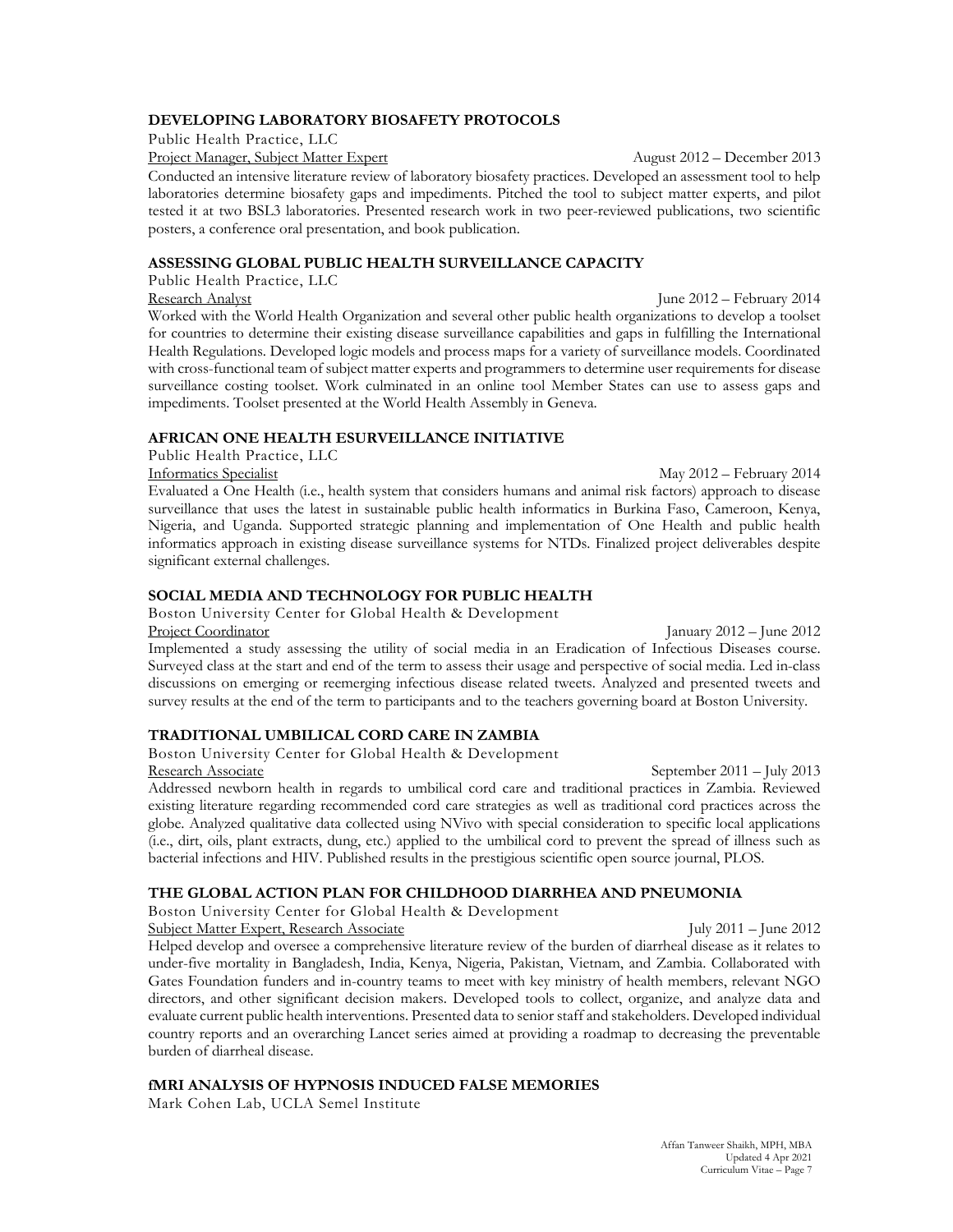# **DEVELOPING LABORATORY BIOSAFETY PROTOCOLS**

Public Health Practice, LLC

Project Manager, Subject Matter Expert August 2012 – December 2013

Conducted an intensive literature review of laboratory biosafety practices. Developed an assessment tool to help laboratories determine biosafety gaps and impediments. Pitched the tool to subject matter experts, and pilot tested it at two BSL3 laboratories. Presented research work in two peer-reviewed publications, two scientific posters, a conference oral presentation, and book publication.

#### **ASSESSING GLOBAL PUBLIC HEALTH SURVEILLANCE CAPACITY**

Public Health Practice, LLC

Research Analyst June 2012 – February 2014 Worked with the World Health Organization and several other public health organizations to develop a toolset for countries to determine their existing disease surveillance capabilities and gaps in fulfilling the International Health Regulations. Developed logic models and process maps for a variety of surveillance models. Coordinated with cross-functional team of subject matter experts and programmers to determine user requirements for disease surveillance costing toolset. Work culminated in an online tool Member States can use to assess gaps and impediments. Toolset presented at the World Health Assembly in Geneva.

## **AFRICAN ONE HEALTH ESURVEILLANCE INITIATIVE**

Public Health Practice, LLC

Informatics Specialist May 2012 – February 2014 Evaluated a One Health (i.e., health system that considers humans and animal risk factors) approach to disease surveillance that uses the latest in sustainable public health informatics in Burkina Faso, Cameroon, Kenya, Nigeria, and Uganda. Supported strategic planning and implementation of One Health and public health informatics approach in existing disease surveillance systems for NTDs. Finalized project deliverables despite significant external challenges.

# **SOCIAL MEDIA AND TECHNOLOGY FOR PUBLIC HEALTH**

Boston University Center for Global Health & Development Project Coordinator January 2012 – June 2012

Implemented a study assessing the utility of social media in an Eradication of Infectious Diseases course. Surveyed class at the start and end of the term to assess their usage and perspective of social media. Led in-class discussions on emerging or reemerging infectious disease related tweets. Analyzed and presented tweets and survey results at the end of the term to participants and to the teachers governing board at Boston University.

# **TRADITIONAL UMBILICAL CORD CARE IN ZAMBIA**

Boston University Center for Global Health & Development Research Associate September 2011 – July 2013

Addressed newborn health in regards to umbilical cord care and traditional practices in Zambia. Reviewed existing literature regarding recommended cord care strategies as well as traditional cord practices across the globe. Analyzed qualitative data collected using NVivo with special consideration to specific local applications (i.e., dirt, oils, plant extracts, dung, etc.) applied to the umbilical cord to prevent the spread of illness such as bacterial infections and HIV. Published results in the prestigious scientific open source journal, PLOS.

# **THE GLOBAL ACTION PLAN FOR CHILDHOOD DIARRHEA AND PNEUMONIA**

Boston University Center for Global Health & Development

Subject Matter Expert, Research Associate July 2011 – June 2012

Helped develop and oversee a comprehensive literature review of the burden of diarrheal disease as it relates to under-five mortality in Bangladesh, India, Kenya, Nigeria, Pakistan, Vietnam, and Zambia. Collaborated with Gates Foundation funders and in-country teams to meet with key ministry of health members, relevant NGO directors, and other significant decision makers. Developed tools to collect, organize, and analyze data and evaluate current public health interventions. Presented data to senior staff and stakeholders. Developed individual country reports and an overarching Lancet series aimed at providing a roadmap to decreasing the preventable burden of diarrheal disease.

# **fMRI ANALYSIS OF HYPNOSIS INDUCED FALSE MEMORIES**

Mark Cohen Lab, UCLA Semel Institute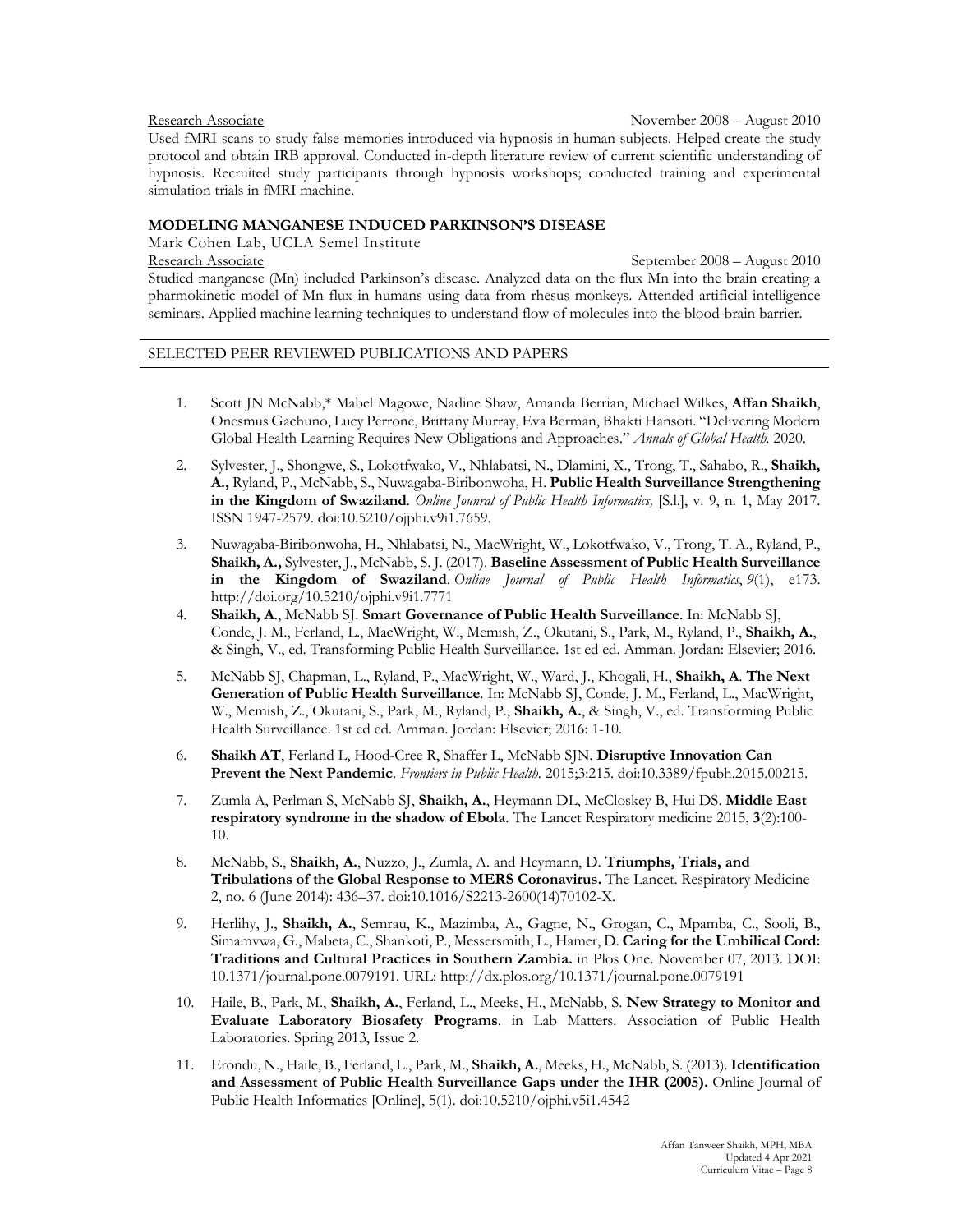### Research Associate November 2008 – August 2010 Used fMRI scans to study false memories introduced via hypnosis in human subjects. Helped create the study protocol and obtain IRB approval. Conducted in-depth literature review of current scientific understanding of hypnosis. Recruited study participants through hypnosis workshops; conducted training and experimental simulation trials in fMRI machine.

### **MODELING MANGANESE INDUCED PARKINSON'S DISEASE**

Mark Cohen Lab, UCLA Semel Institute

Research Associate September 2008 – August 2010 Studied manganese (Mn) included Parkinson's disease. Analyzed data on the flux Mn into the brain creating a pharmokinetic model of Mn flux in humans using data from rhesus monkeys. Attended artificial intelligence seminars. Applied machine learning techniques to understand flow of molecules into the blood-brain barrier.

### SELECTED PEER REVIEWED PUBLICATIONS AND PAPERS

- 1. Scott JN McNabb,\* Mabel Magowe, Nadine Shaw, Amanda Berrian, Michael Wilkes, **Affan Shaikh**, Onesmus Gachuno, Lucy Perrone, Brittany Murray, Eva Berman, Bhakti Hansoti. "Delivering Modern Global Health Learning Requires New Obligations and Approaches." *Annals of Global Health.* 2020.
- 2. Sylvester, J., Shongwe, S., Lokotfwako, V., Nhlabatsi, N., Dlamini, X., Trong, T., Sahabo, R., **Shaikh, A.,** Ryland, P., McNabb, S., Nuwagaba-Biribonwoha, H. **Public Health Surveillance Strengthening in the Kingdom of Swaziland**. *Online Jounral of Public Health Informatics,* [S.l.], v. 9, n. 1, May 2017. ISSN 1947-2579. doi:10.5210/ojphi.v9i1.7659.
- 3. Nuwagaba-Biribonwoha, H., Nhlabatsi, N., MacWright, W., Lokotfwako, V., Trong, T. A., Ryland, P., **Shaikh, A.,** Sylvester, J., McNabb, S. J. (2017). **Baseline Assessment of Public Health Surveillance in the Kingdom of Swaziland**. *Online Journal of Public Health Informatics*, *9*(1), e173. http://doi.org/10.5210/ojphi.v9i1.7771
- 4. **Shaikh, A**., McNabb SJ. **Smart Governance of Public Health Surveillance**. In: McNabb SJ, Conde, J. M., Ferland, L., MacWright, W., Memish, Z., Okutani, S., Park, M., Ryland, P., **Shaikh, A.**, & Singh, V., ed. Transforming Public Health Surveillance. 1st ed ed. Amman. Jordan: Elsevier; 2016.
- 5. McNabb SJ, Chapman, L., Ryland, P., MacWright, W., Ward, J., Khogali, H., **Shaikh, A**. **The Next Generation of Public Health Surveillance**. In: McNabb SJ, Conde, J. M., Ferland, L., MacWright, W., Memish, Z., Okutani, S., Park, M., Ryland, P., **Shaikh, A.**, & Singh, V., ed. Transforming Public Health Surveillance. 1st ed ed. Amman. Jordan: Elsevier; 2016: 1-10.
- 6. **Shaikh AT**, Ferland L, Hood-Cree R, Shaffer L, McNabb SJN. **Disruptive Innovation Can Prevent the Next Pandemic**. *Frontiers in Public Health*. 2015;3:215. doi:10.3389/fpubh.2015.00215.
- 7. Zumla A, Perlman S, McNabb SJ, **Shaikh, A.**, Heymann DL, McCloskey B, Hui DS. **Middle East respiratory syndrome in the shadow of Ebola**. The Lancet Respiratory medicine 2015, **3**(2):100- 10.
- 8. McNabb, S., **Shaikh, A.**, Nuzzo, J., Zumla, A. and Heymann, D. **Triumphs, Trials, and Tribulations of the Global Response to MERS Coronavirus.** The Lancet. Respiratory Medicine 2, no. 6 (June 2014): 436–37. doi:10.1016/S2213-2600(14)70102-X.
- 9. Herlihy, J., **Shaikh, A.**, Semrau, K., Mazimba, A., Gagne, N., Grogan, C., Mpamba, C., Sooli, B., Simamvwa, G., Mabeta, C., Shankoti, P., Messersmith, L., Hamer, D. **Caring for the Umbilical Cord: Traditions and Cultural Practices in Southern Zambia.** in Plos One. November 07, 2013. DOI: 10.1371/journal.pone.0079191. URL: http://dx.plos.org/10.1371/journal.pone.0079191
- 10. Haile, B., Park, M., **Shaikh, A.**, Ferland, L., Meeks, H., McNabb, S. **New Strategy to Monitor and Evaluate Laboratory Biosafety Programs**. in Lab Matters. Association of Public Health Laboratories. Spring 2013, Issue 2.
- 11. Erondu, N., Haile, B., Ferland, L., Park, M., **Shaikh, A.**, Meeks, H., McNabb, S. (2013). **Identification and Assessment of Public Health Surveillance Gaps under the IHR (2005).** Online Journal of Public Health Informatics [Online], 5(1). doi:10.5210/ojphi.v5i1.4542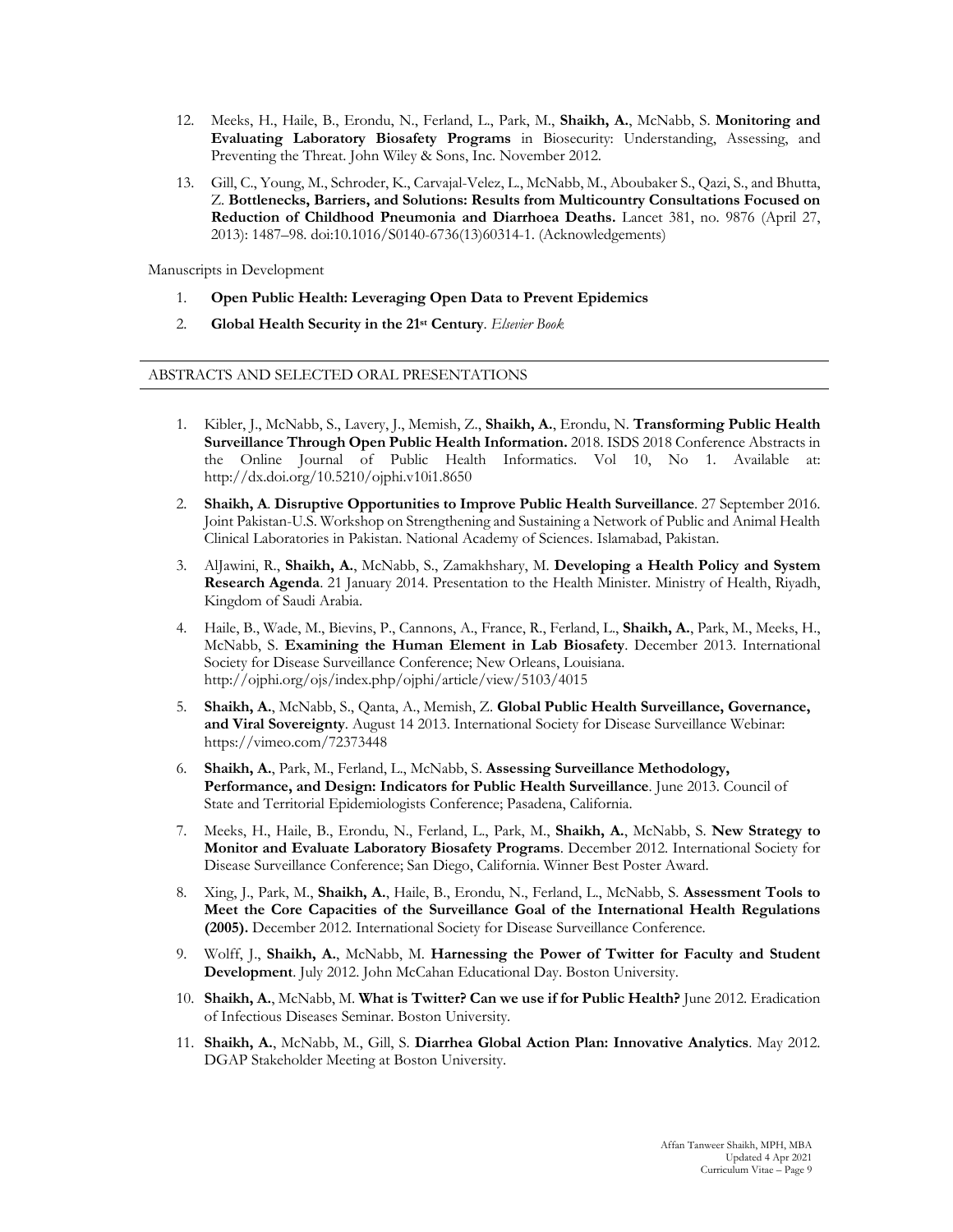- 12. Meeks, H., Haile, B., Erondu, N., Ferland, L., Park, M., **Shaikh, A.**, McNabb, S. **Monitoring and Evaluating Laboratory Biosafety Programs** in Biosecurity: Understanding, Assessing, and Preventing the Threat. John Wiley & Sons, Inc. November 2012.
- 13. Gill, C., Young, M., Schroder, K., Carvajal-Velez, L., McNabb, M., Aboubaker S., Qazi, S., and Bhutta, Z. **Bottlenecks, Barriers, and Solutions: Results from Multicountry Consultations Focused on Reduction of Childhood Pneumonia and Diarrhoea Deaths.** Lancet 381, no. 9876 (April 27, 2013): 1487–98. doi:10.1016/S0140-6736(13)60314-1. (Acknowledgements)

Manuscripts in Development

- 1. **Open Public Health: Leveraging Open Data to Prevent Epidemics**
- 2. **Global Health Security in the 21st Century**. *Elsevier Book*

#### ABSTRACTS AND SELECTED ORAL PRESENTATIONS

- 1. Kibler, J., McNabb, S., Lavery, J., Memish, Z., **Shaikh, A.**, Erondu, N. **Transforming Public Health Surveillance Through Open Public Health Information.** 2018. ISDS 2018 Conference Abstracts in the Online Journal of Public Health Informatics. Vol 10, No 1. Available at: http://dx.doi.org/10.5210/ojphi.v10i1.8650
- 2. **Shaikh, A**. **Disruptive Opportunities to Improve Public Health Surveillance**. 27 September 2016. Joint Pakistan-U.S. Workshop on Strengthening and Sustaining a Network of Public and Animal Health Clinical Laboratories in Pakistan. National Academy of Sciences. Islamabad, Pakistan.
- 3. AlJawini, R., **Shaikh, A.**, McNabb, S., Zamakhshary, M. **Developing a Health Policy and System Research Agenda**. 21 January 2014. Presentation to the Health Minister. Ministry of Health, Riyadh, Kingdom of Saudi Arabia.
- 4. Haile, B., Wade, M., Bievins, P., Cannons, A., France, R., Ferland, L., **Shaikh, A.**, Park, M., Meeks, H., McNabb, S. **Examining the Human Element in Lab Biosafety**. December 2013. International Society for Disease Surveillance Conference; New Orleans, Louisiana. http://ojphi.org/ojs/index.php/ojphi/article/view/5103/4015
- 5. **Shaikh, A.**, McNabb, S., Qanta, A., Memish, Z. **Global Public Health Surveillance, Governance, and Viral Sovereignty**. August 14 2013. International Society for Disease Surveillance Webinar: https://vimeo.com/72373448
- 6. **Shaikh, A.**, Park, M., Ferland, L., McNabb, S. **Assessing Surveillance Methodology, Performance, and Design: Indicators for Public Health Surveillance**. June 2013. Council of State and Territorial Epidemiologists Conference; Pasadena, California.
- 7. Meeks, H., Haile, B., Erondu, N., Ferland, L., Park, M., **Shaikh, A.**, McNabb, S. **New Strategy to Monitor and Evaluate Laboratory Biosafety Programs**. December 2012. International Society for Disease Surveillance Conference; San Diego, California. Winner Best Poster Award.
- 8. Xing, J., Park, M., **Shaikh, A.**, Haile, B., Erondu, N., Ferland, L., McNabb, S. **Assessment Tools to Meet the Core Capacities of the Surveillance Goal of the International Health Regulations (2005).** December 2012. International Society for Disease Surveillance Conference.
- 9. Wolff, J., **Shaikh, A.**, McNabb, M. **Harnessing the Power of Twitter for Faculty and Student Development**. July 2012. John McCahan Educational Day. Boston University.
- 10. **Shaikh, A.**, McNabb, M. **What is Twitter? Can we use if for Public Health?** June 2012. Eradication of Infectious Diseases Seminar. Boston University.
- 11. **Shaikh, A.**, McNabb, M., Gill, S. **Diarrhea Global Action Plan: Innovative Analytics**. May 2012. DGAP Stakeholder Meeting at Boston University.